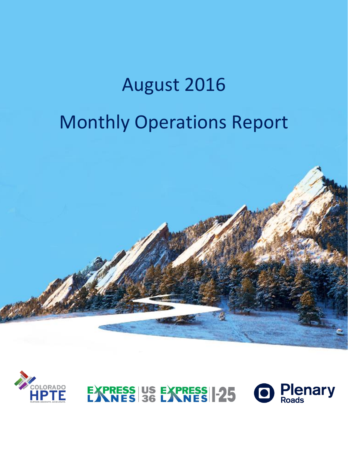# August 2016 Monthly Operations Report





**Plenary**<br>Roads EXPRESS US EXPRESS 1-25  $\bullet$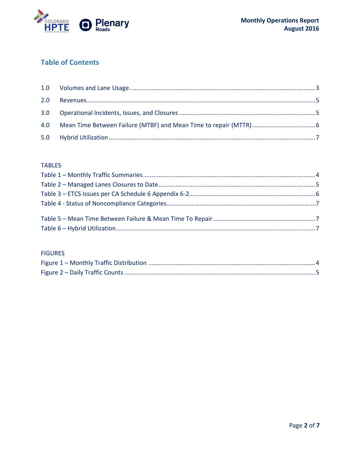

### **Table of Contents**

#### **TABLES**

#### **FIGURES**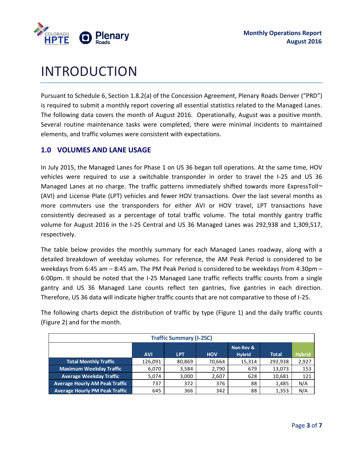

## INTRODUCTION

Pursuant to Schedule 6, Section 1.8.2(a) of the Concession Agreement, Plenary Roads Denver ("PRD") is required to submit a monthly report covering all essential statistics related to the Managed Lanes. The following data covers the month of August 2016. Operationally, August was a positive month. Several routine maintenance tasks were completed, there were minimal incidents to maintained elements, and traffic volumes were consistent with expectations.

#### <span id="page-2-0"></span>**1.0 VOLUMES AND LANE USAGE**

In July 2015, the Managed Lanes for Phase 1 on US 36 began toll operations. At the same time, HOV vehicles were required to use a switchable transponder in order to travel the I-25 and US 36 Managed Lanes at no charge. The traffic patterns immediately shifted towards more ExpressToll<sup>1</sup>M (AVI) and License Plate (LPT) vehicles and fewer HOV transactions. Over the last several months as more commuters use the transponders for either AVI or HOV travel, LPT transactions have consistently decreased as a percentage of total traffic volume. The total monthly gantry traffic volume for August 2016 in the I-25 Central and US 36 Managed Lanes was 292,938 and 1,309,517, respectively.

The table below provides the monthly summary for each Managed Lanes roadway, along with a detailed breakdown of weekday volumes. For reference, the AM Peak Period is considered to be weekdays from 6:45 am – 8:45 am. The PM Peak Period is considered to be weekdays from 4:30pm – 6:00pm. It should be noted that the I-25 Managed Lane traffic reflects traffic counts from a single gantry and US 36 Managed Lane counts reflect ten gantries, five gantries in each direction. Therefore, US 36 data will indicate higher traffic counts that are not comparative to those of I-25.

The following charts depict the distribution of traffic by type (Figure 1) and the daily traffic counts (Figure 2) and for the month.

| <b>Traffic Summary (I-25C)</b>        |            |        |            |               |              |               |
|---------------------------------------|------------|--------|------------|---------------|--------------|---------------|
|                                       |            |        |            | Non-Rev &     |              |               |
|                                       | <b>AVI</b> | LPT.   | <b>HOV</b> | <b>Hybrid</b> | <b>Total</b> | <b>Hybrid</b> |
| <b>Total Monthly Traffic</b>          | 126,091    | 80,869 | 70,664     | 15,314        | 292,938      | 2,927         |
| <b>Maximum Weekday Traffic</b>        | 6,070      | 3,584  | 2,790      | 679           | 13,073       | 153           |
| <b>Average Weekday Traffic</b>        | 5,074      | 3,000  | 2,607      | 628           | 10,681       | 121           |
| <b>Average Hourly AM Peak Traffic</b> | 737        | 372    | 376        | 88            | 1,485        | N/A           |
| <b>Average Hourly PM Peak Traffic</b> | 645        | 366    | 342        | 88            | 1,353        | N/A           |
|                                       |            |        |            |               |              |               |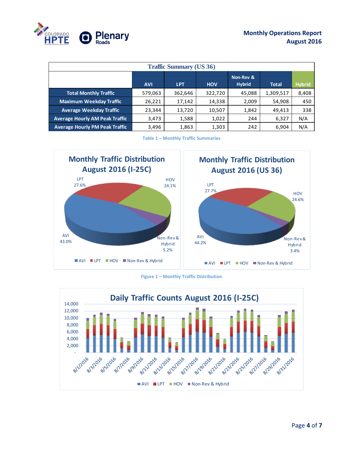

| <b>Traffic Summary (US 36)</b>        |            |            |            |                            |              |               |
|---------------------------------------|------------|------------|------------|----------------------------|--------------|---------------|
|                                       | <b>AVI</b> | <b>LPT</b> | <b>HOV</b> | Non-Rev &<br><b>Hybrid</b> | <b>Total</b> | <b>Hybrid</b> |
| <b>Total Monthly Traffic</b>          | 579,063    | 362,646    | 322,720    | 45,088                     | 1,309,517    | 8,408         |
| <b>Maximum Weekday Traffic</b>        | 26,221     | 17,142     | 14,338     | 2,009                      | 54,908       | 450           |
| <b>Average Weekday Traffic</b>        | 23,344     | 13,720     | 10,507     | 1,842                      | 49,413       | 338           |
| <b>Average Hourly AM Peak Traffic</b> | 3,473      | 1,588      | 1,022      | 244                        | 6,327        | N/A           |
| <b>Average Hourly PM Peak Traffic</b> | 3,496      | 1,863      | 1,303      | 242                        | 6,904        | N/A           |

**Table 1 – Monthly Traffic Summaries**

<span id="page-3-0"></span>

**Figure 1 – Monthly Traffic Distribution**

<span id="page-3-1"></span>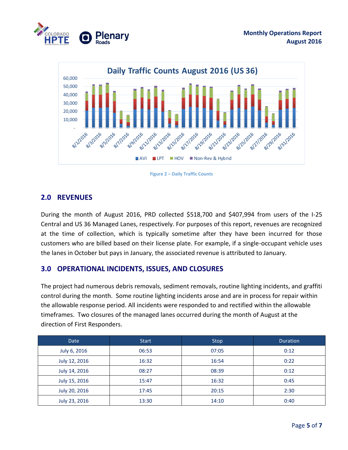



**Figure 2 – Daily Traffic Counts**

#### <span id="page-4-3"></span><span id="page-4-0"></span>**2.0 REVENUES**

<span id="page-4-1"></span>During the month of August 2016, PRD collected \$518,700 and \$407,994 from users of the I-25 Central and US 36 Managed Lanes, respectively. For purposes of this report, revenues are recognized at the time of collection, which is typically sometime after they have been incurred for those customers who are billed based on their license plate. For example, if a single-occupant vehicle uses the lanes in October but pays in January, the associated revenue is attributed to January.

#### **3.0 OPERATIONAL INCIDENTS, ISSUES, AND CLOSURES**

The project had numerous debris removals, sediment removals, routine lighting incidents, and graffiti control during the month. Some routine lighting incidents arose and are in process for repair within the allowable response period. All incidents were responded to and rectified within the allowable timeframes. Two closures of the managed lanes occurred during the month of August at the direction of First Responders.

<span id="page-4-2"></span>

| <b>Date</b>   | <b>Start</b> | <b>Stop</b> | <b>Duration</b> |
|---------------|--------------|-------------|-----------------|
| July 6, 2016  | 06:53        | 07:05       | 0:12            |
| July 12, 2016 | 16:32        | 16:54       | 0:22            |
| July 14, 2016 | 08:27        | 08:39       | 0:12            |
| July 15, 2016 | 15:47        | 16:32       | 0:45            |
| July 20, 2016 | 17:45        | 20:15       | 2:30            |
| July 23, 2016 | 13:30        | 14:10       | 0:40            |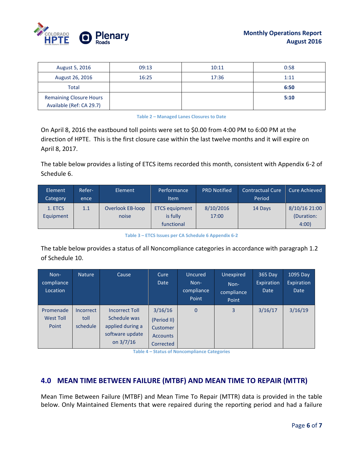

| August 5, 2016                 | 09:13 | 10:11 | 0:58 |
|--------------------------------|-------|-------|------|
| August 26, 2016                | 16:25 | 17:36 | 1:11 |
| Total                          |       |       | 6:50 |
| <b>Remaining Closure Hours</b> |       |       | 5:10 |
| Available (Ref: CA 29.7)       |       |       |      |

#### **Table 2 – Managed Lanes Closures to Date**

On April 8, 2016 the eastbound toll points were set to \$0.00 from 4:00 PM to 6:00 PM at the direction of HPTE. This is the first closure case within the last twelve months and it will expire on April 8, 2017.

The table below provides a listing of ETCS items recorded this month, consistent with Appendix 6-2 of Schedule 6.

| Element<br>Category | Refer-<br>ence | Element                 | Performance<br><b>Item</b> | <b>PRD Notified</b> | <b>Contractual Cure</b><br>Period | <b>Cure Achieved</b> |
|---------------------|----------------|-------------------------|----------------------------|---------------------|-----------------------------------|----------------------|
| 1. ETCS             | 1.1            | <b>Overlook EB-loop</b> | <b>ETCS equipment</b>      | 8/10/2016           | 14 Days                           | 8/10/16 21:00        |
| Equipment           |                | noise                   | is fully                   | 17:00               |                                   | (Duration:           |
|                     |                |                         | functional                 |                     |                                   | 4:00                 |

**Table 3 – ETCS Issues per CA Schedule 6 Appendix 6-2**

<span id="page-5-1"></span>The table below provides a status of all Noncompliance categories in accordance with paragraph 1.2 of Schedule 10.

| Non-<br>compliance<br>Location         | Nature                               | Cause                                                                                       | Cure<br>Date                                                       | Uncured<br>Non-<br>compliance<br>Point | Unexpired<br>Non-<br>compliance<br>Point | 365 Day<br>Expiration<br>Date | 1095 Day<br>Expiration<br><b>Date</b> |
|----------------------------------------|--------------------------------------|---------------------------------------------------------------------------------------------|--------------------------------------------------------------------|----------------------------------------|------------------------------------------|-------------------------------|---------------------------------------|
| Promenade<br><b>West Toll</b><br>Point | <b>Incorrect</b><br>toll<br>schedule | <b>Incorrect Toll</b><br>Schedule was<br>applied during a<br>software update<br>on $3/7/16$ | 3/16/16<br>(Period II)<br>Customer<br><b>Accounts</b><br>Corrected | $\mathbf{0}$                           | $\overline{3}$                           | 3/16/17                       | 3/16/19                               |

**Table 4 – Status of Noncompliance Categories**

#### <span id="page-5-0"></span>**4.0 MEAN TIME BETWEEN FAILURE (MTBF) AND MEAN TIME TO REPAIR (MTTR)**

Mean Time Between Failure (MTBF) and Mean Time To Repair (MTTR) data is provided in the table below. Only Maintained Elements that were repaired during the reporting period and had a failure